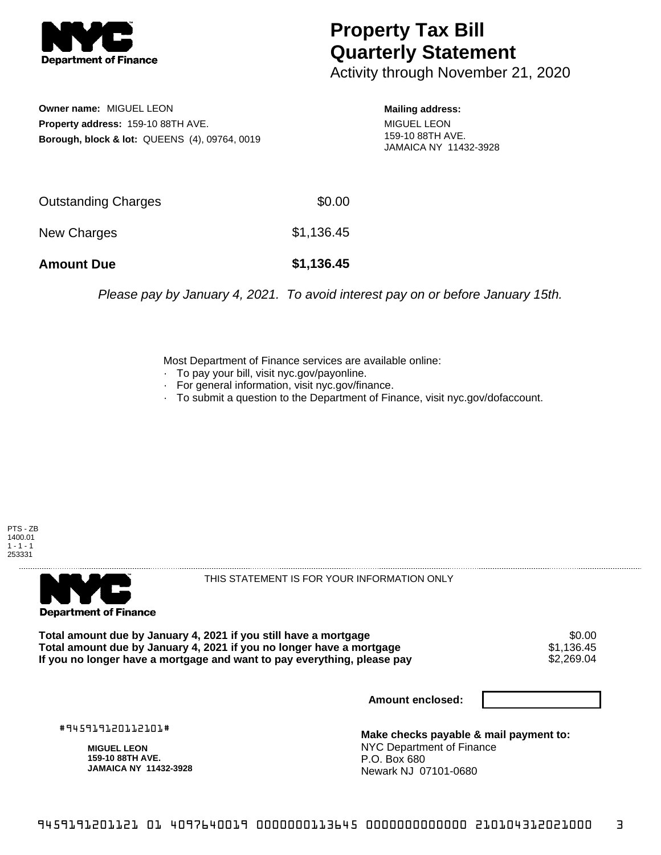

## **Property Tax Bill Quarterly Statement**

Activity through November 21, 2020

**Owner name:** MIGUEL LEON **Property address:** 159-10 88TH AVE. **Borough, block & lot:** QUEENS (4), 09764, 0019

**Mailing address:** MIGUEL LEON 159-10 88TH AVE. JAMAICA NY 11432-3928

| <b>Amount Due</b>   | \$1,136.45 |
|---------------------|------------|
| New Charges         | \$1,136.45 |
| Outstanding Charges | \$0.00     |

Please pay by January 4, 2021. To avoid interest pay on or before January 15th.

Most Department of Finance services are available online:

- · To pay your bill, visit nyc.gov/payonline.
- For general information, visit nyc.gov/finance.
- · To submit a question to the Department of Finance, visit nyc.gov/dofaccount.





THIS STATEMENT IS FOR YOUR INFORMATION ONLY

Total amount due by January 4, 2021 if you still have a mortgage \$0.00<br>Total amount due by January 4, 2021 if you no longer have a mortgage \$1.136.45 **Total amount due by January 4, 2021 if you no longer have a mortgage**  $$1,136.45$ **<br>If you no longer have a mortgage and want to pay everything, please pay**  $$2,269.04$ If you no longer have a mortgage and want to pay everything, please pay

**Amount enclosed:**

#945919120112101#

**MIGUEL LEON 159-10 88TH AVE. JAMAICA NY 11432-3928**

**Make checks payable & mail payment to:** NYC Department of Finance P.O. Box 680 Newark NJ 07101-0680